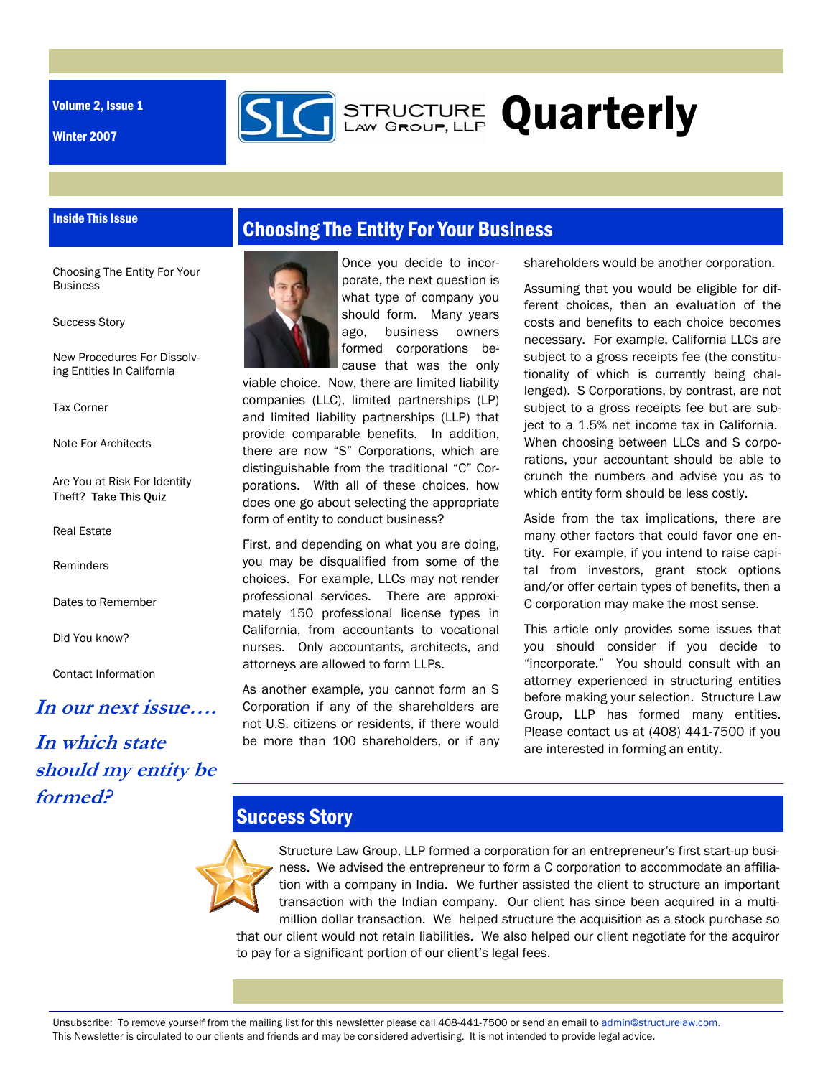Volume 2, Issue 1

Inside This Issue

Winter 2007



Choosing The Entity For Your **Business** 

Success Story

New Procedures For Dissolving Entities In California

Tax Corner

Note For Architects

Are You at Risk For Identity Theft? Take This Quiz

Real Estate

Reminders

Dates to Remember

Did You know?

Contact Information

#### **In our next issue….**

# **In which state should my entity be formed?**



Once you decide to incorporate, the next question is what type of company you should form. Many years ago, business owners formed corporations because that was the only

**GERENGTURE Quarterly** 

viable choice. Now, there are limited liability companies (LLC), limited partnerships (LP) and limited liability partnerships (LLP) that provide comparable benefits. In addition, there are now "S" Corporations, which are distinguishable from the traditional "C" Corporations. With all of these choices, how does one go about selecting the appropriate form of entity to conduct business?

First, and depending on what you are doing, you may be disqualified from some of the choices. For example, LLCs may not render professional services. There are approximately 150 professional license types in California, from accountants to vocational nurses. Only accountants, architects, and attorneys are allowed to form LLPs.

As another example, you cannot form an S Corporation if any of the shareholders are not U.S. citizens or residents, if there would be more than 100 shareholders, or if any shareholders would be another corporation.

Assuming that you would be eligible for different choices, then an evaluation of the costs and benefits to each choice becomes necessary. For example, California LLCs are subject to a gross receipts fee (the constitutionality of which is currently being challenged). S Corporations, by contrast, are not subject to a gross receipts fee but are subject to a 1.5% net income tax in California. When choosing between LLCs and S corporations, your accountant should be able to crunch the numbers and advise you as to which entity form should be less costly.

Aside from the tax implications, there are many other factors that could favor one entity. For example, if you intend to raise capital from investors, grant stock options and/or offer certain types of benefits, then a C corporation may make the most sense.

This article only provides some issues that you should consider if you decide to "incorporate." You should consult with an attorney experienced in structuring entities before making your selection. Structure Law Group, LLP has formed many entities. Please contact us at (408) 441-7500 if you are interested in forming an entity.

### **Success Story**

Structure Law Group, LLP formed a corporation for an entrepreneur's first start-up business. We advised the entrepreneur to form a C corporation to accommodate an affiliation with a company in India. We further assisted the client to structure an important transaction with the Indian company. Our client has since been acquired in a multimillion dollar transaction. We helped structure the acquisition as a stock purchase so that our client would not retain liabilities. We also helped our client negotiate for the acquiror to pay for a significant portion of our client's legal fees.

Unsubscribe: To remove yourself from the mailing list for this newsletter please call 408-441-7500 or send an email to admin@structurelaw.com. This Newsletter is circulated to our clients and friends and may be considered advertising. It is not intended to provide legal advice.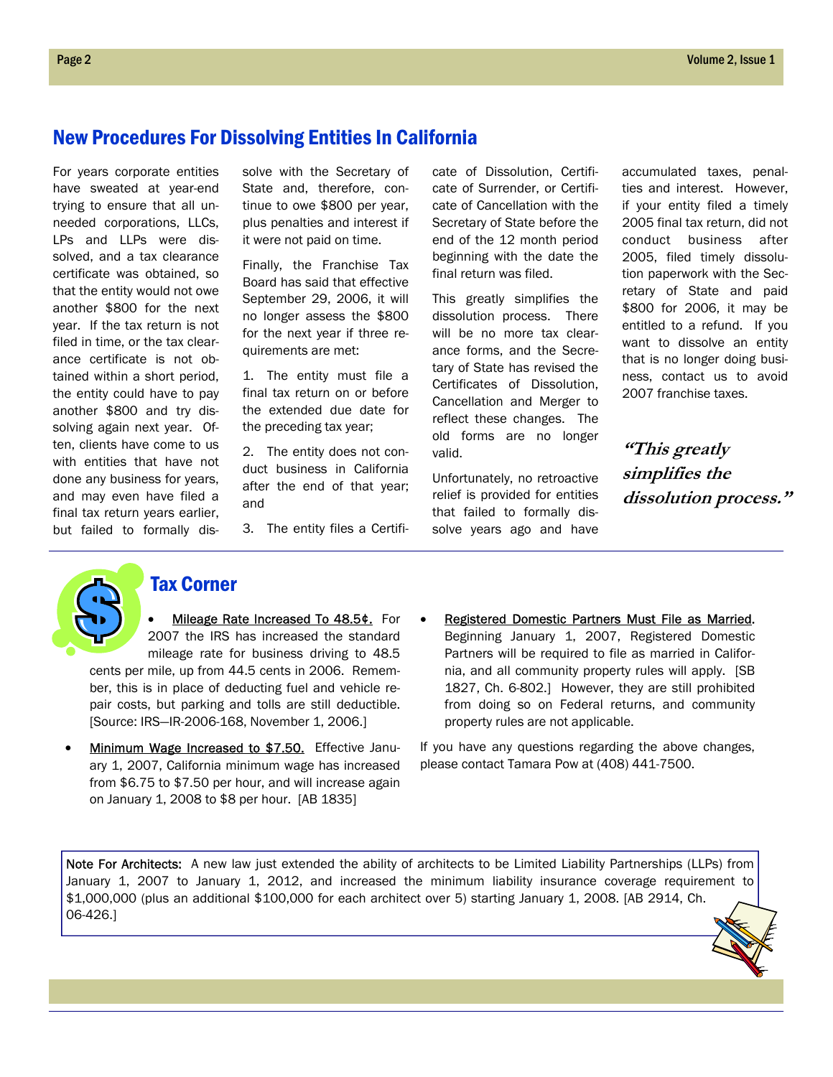### New Procedures For Dissolving Entities In California

For years corporate entities have sweated at year-end trying to ensure that all unneeded corporations, LLCs, LPs and LLPs were dissolved, and a tax clearance certificate was obtained, so that the entity would not owe another \$800 for the next year. If the tax return is not filed in time, or the tax clearance certificate is not obtained within a short period, the entity could have to pay another \$800 and try dissolving again next year. Often, clients have come to us with entities that have not done any business for years, and may even have filed a final tax return years earlier, but failed to formally dissolve with the Secretary of State and, therefore, continue to owe \$800 per year, plus penalties and interest if it were not paid on time.

Finally, the Franchise Tax Board has said that effective September 29, 2006, it will no longer assess the \$800 for the next year if three requirements are met:

1. The entity must file a final tax return on or before the extended due date for the preceding tax year;

2. The entity does not conduct business in California after the end of that year; and

3. The entity files a Certifi-

cate of Dissolution, Certificate of Surrender, or Certificate of Cancellation with the Secretary of State before the end of the 12 month period beginning with the date the final return was filed.

This greatly simplifies the dissolution process. There will be no more tax clearance forms, and the Secretary of State has revised the Certificates of Dissolution, Cancellation and Merger to reflect these changes. The old forms are no longer valid.

Unfortunately, no retroactive relief is provided for entities that failed to formally dissolve years ago and have accumulated taxes, penalties and interest. However, if your entity filed a timely 2005 final tax return, did not conduct business after 2005, filed timely dissolution paperwork with the Secretary of State and paid \$800 for 2006, it may be entitled to a refund. If you want to dissolve an entity that is no longer doing business, contact us to avoid 2007 franchise taxes.

**"This greatly simplifies the dissolution process."** 



#### Tax Corner

Mileage Rate Increased To 48.5¢. For 2007 the IRS has increased the standard mileage rate for business driving to 48.5 cents per mile, up from 44.5 cents in 2006. Remem-

ber, this is in place of deducting fuel and vehicle repair costs, but parking and tolls are still deductible. [Source: IRS—IR-2006-168, November 1, 2006.]

- Minimum Wage Increased to \$7.50. Effective January 1, 2007, California minimum wage has increased from \$6.75 to \$7.50 per hour, and will increase again on January 1, 2008 to \$8 per hour. [AB 1835]
- Registered Domestic Partners Must File as Married. Beginning January 1, 2007, Registered Domestic Partners will be required to file as married in California, and all community property rules will apply. [SB 1827, Ch. 6-802.] However, they are still prohibited from doing so on Federal returns, and community property rules are not applicable.

If you have any questions regarding the above changes, please contact Tamara Pow at (408) 441-7500.

Note For Architects: A new law just extended the ability of architects to be Limited Liability Partnerships (LLPs) from January 1, 2007 to January 1, 2012, and increased the minimum liability insurance coverage requirement to \$1,000,000 (plus an additional \$100,000 for each architect over 5) starting January 1, 2008. [AB 2914, Ch. 06-426.]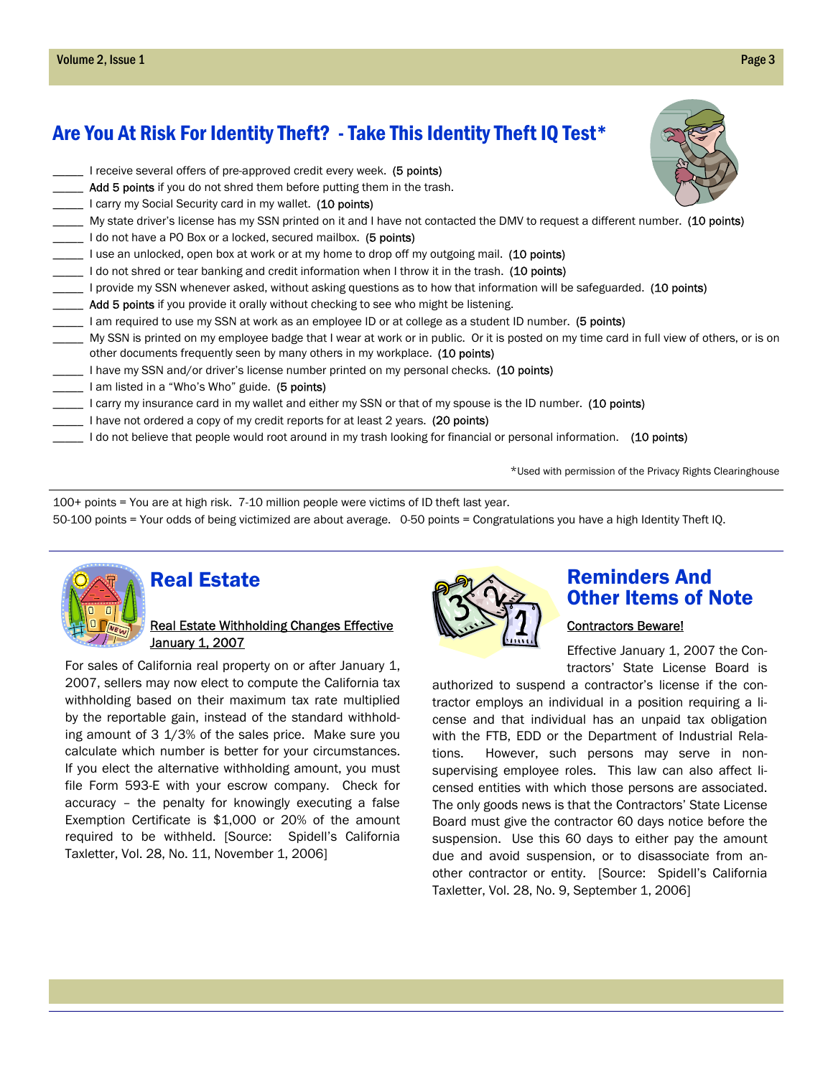## Are You At Risk For Identity Theft? - Take This Identity Theft IQ Test\*

L I receive several offers of pre-approved credit every week. (5 points) \_\_ Add 5 points if you do not shred them before putting them in the trash. L I carry my Social Security card in my wallet. (10 points) \_\_\_ My state driver's license has my SSN printed on it and I have not contacted the DMV to request a different number. (10 points) Loo not have a PO Box or a locked, secured mailbox. (5 points) L I use an unlocked, open box at work or at my home to drop off my outgoing mail. (10 points) I do not shred or tear banking and credit information when I throw it in the trash. (10 points) L provide my SSN whenever asked, without asking questions as to how that information will be safeguarded. (10 points)  $\Box$  Add 5 points if you provide it orally without checking to see who might be listening. I am required to use my SSN at work as an employee ID or at college as a student ID number. (5 points) \_\_\_\_\_ My SSN is printed on my employee badge that I wear at work or in public. Or it is posted on my time card in full view of others, or is on other documents frequently seen by many others in my workplace. (10 points) I have my SSN and/or driver's license number printed on my personal checks. (10 points) \_\_\_\_\_ I am listed in a "Who's Who" guide. (5 points) Letter my spouse is the ID number. (10 points) I carry my insurance card in my wallet and either my SSN or that of my spouse is the ID number. (10 points) I have not ordered a copy of my credit reports for at least 2 years. (20 points) I do not believe that people would root around in my trash looking for financial or personal information. (10 points)

\*Used with permission of the Privacy Rights Clearinghouse

100+ points = You are at high risk. 7-10 million people were victims of ID theft last year. 50-100 points = Your odds of being victimized are about average. 0-50 points = Congratulations you have a high Identity Theft IQ.



 $\overline{a}$ 

## Real Estate

#### Real Estate Withholding Changes Effective January 1, 2007

For sales of California real property on or after January 1, 2007, sellers may now elect to compute the California tax withholding based on their maximum tax rate multiplied by the reportable gain, instead of the standard withholding amount of 3 1/3% of the sales price. Make sure you calculate which number is better for your circumstances. If you elect the alternative withholding amount, you must file Form 593-E with your escrow company. Check for accuracy – the penalty for knowingly executing a false Exemption Certificate is \$1,000 or 20% of the amount required to be withheld. [Source: Spidell's California Taxletter, Vol. 28, No. 11, November 1, 2006]



### Reminders And Other Items of Note

#### Contractors Beware!

Effective January 1, 2007 the Contractors' State License Board is

authorized to suspend a contractor's license if the contractor employs an individual in a position requiring a license and that individual has an unpaid tax obligation with the FTB, EDD or the Department of Industrial Relations. However, such persons may serve in nonsupervising employee roles. This law can also affect licensed entities with which those persons are associated. The only goods news is that the Contractors' State License Board must give the contractor 60 days notice before the suspension. Use this 60 days to either pay the amount due and avoid suspension, or to disassociate from another contractor or entity. [Source: Spidell's California Taxletter, Vol. 28, No. 9, September 1, 2006]